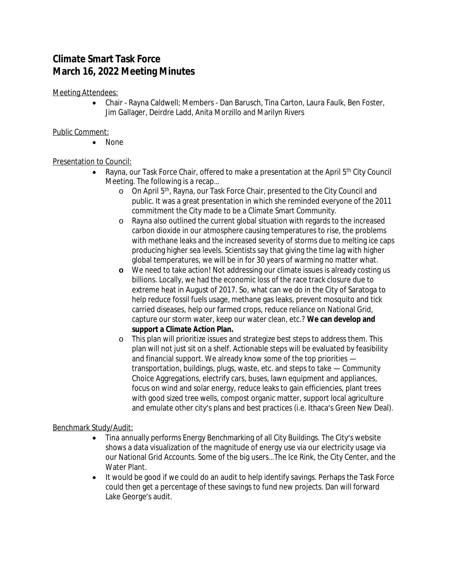# **Climate Smart Task Force March 16, 2022 Meeting Minutes**

Meeting Attendees:

 Chair - Rayna Caldwell; Members - Dan Barusch, Tina Carton, Laura Faulk, Ben Foster, Jim Gallager, Deirdre Ladd, Anita Morzillo and Marilyn Rivers

# Public Comment:

• None

# Presentation to Council:

- Rayna, our Task Force Chair, offered to make a presentation at the April  $5<sup>th</sup>$  City Council Meeting. The following is a recap…
	- o On April 5th, Rayna, our Task Force Chair, presented to the City Council and public. It was a great presentation in which she reminded everyone of the 2011 commitment the City made to be a Climate Smart Community.
	- o Rayna also outlined the current global situation with regards to the increased carbon dioxide in our atmosphere causing temperatures to rise, the problems with methane leaks and the increased severity of storms due to melting ice caps producing higher sea levels. Scientists say that giving the time lag with higher global temperatures, we will be in for 30 years of warming no matter what.
	- **o** We need to take action! Not addressing our climate issues is already costing us billions. Locally, we had the economic loss of the race track closure due to extreme heat in August of 2017. So, what can we do in the City of Saratoga to help reduce fossil fuels usage, methane gas leaks, prevent mosquito and tick carried diseases, help our farmed crops, reduce reliance on National Grid, capture our storm water, keep our water clean, etc.? **We can develop and support a Climate Action Plan.**
	- o This plan will prioritize issues and strategize best steps to address them. This plan will not just sit on a shelf. Actionable steps will be evaluated by feasibility and financial support. We already know some of the top priorities transportation, buildings, plugs, waste, etc. and steps to take — Community Choice Aggregations, electrify cars, buses, lawn equipment and appliances, focus on wind and solar energy, reduce leaks to gain efficiencies, plant trees with good sized tree wells, compost organic matter, support local agriculture and emulate other city's plans and best practices (i.e. Ithaca's Green New Deal).

## Benchmark Study/Audit:

- Tina annually performs Energy Benchmarking of all City Buildings. The City's website shows a data visualization of the magnitude of energy use via our electricity usage via our National Grid Accounts. Some of the big users…The Ice Rink, the City Center, and the Water Plant.
- It would be good if we could do an audit to help identify savings. Perhaps the Task Force could then get a percentage of these savings to fund new projects. Dan will forward Lake George's audit.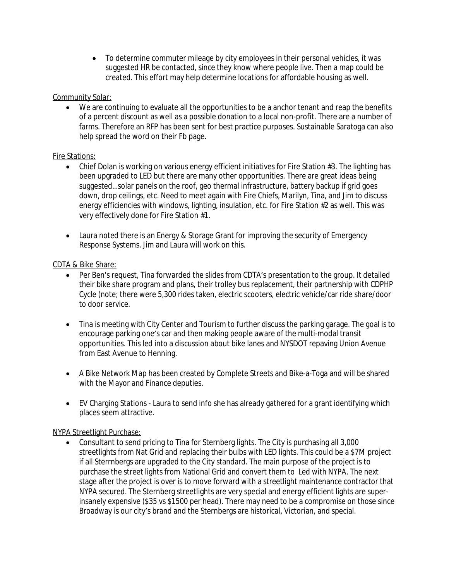To determine commuter mileage by city employees in their personal vehicles, it was suggested HR be contacted, since they know where people live. Then a map could be created. This effort may help determine locations for affordable housing as well.

#### Community Solar:

 We are continuing to evaluate all the opportunities to be a anchor tenant and reap the benefits of a percent discount as well as a possible donation to a local non-profit. There are a number of farms. Therefore an RFP has been sent for best practice purposes. Sustainable Saratoga can also help spread the word on their Fb page.

#### Fire Stations:

- Chief Dolan is working on various energy efficient initiatives for Fire Station #3. The lighting has been upgraded to LED but there are many other opportunities. There are great ideas being suggested…solar panels on the roof, geo thermal infrastructure, battery backup if grid goes down, drop ceilings, etc. Need to meet again with Fire Chiefs, Marilyn, Tina, and Jim to discuss energy efficiencies with windows, lighting, insulation, etc. for Fire Station #2 as well. This was very effectively done for Fire Station #1.
- Laura noted there is an Energy & Storage Grant for improving the security of Emergency Response Systems. Jim and Laura will work on this.

#### CDTA & Bike Share:

- Per Ben's request, Tina forwarded the slides from CDTA's presentation to the group. It detailed their bike share program and plans, their trolley bus replacement, their partnership with CDPHP Cycle (note; there were 5,300 rides taken, electric scooters, electric vehicle/car ride share/door to door service.
- Tina is meeting with City Center and Tourism to further discuss the parking garage. The goal is to encourage parking one's car and then making people aware of the multi-modal transit opportunities. This led into a discussion about bike lanes and NYSDOT repaving Union Avenue from East Avenue to Henning.
- A Bike Network Map has been created by Complete Streets and Bike-a-Toga and will be shared with the Mayor and Finance deputies.
- EV Charging Stations Laura to send info she has already gathered for a grant identifying which places seem attractive.

## NYPA Streetlight Purchase:

 Consultant to send pricing to Tina for Sternberg lights. The City is purchasing all 3,000 streetlights from Nat Grid and replacing their bulbs with LED lights. This could be a \$7M project if all Sterrnbergs are upgraded to the City standard. The main purpose of the project is to purchase the street lights from National Grid and convert them to Led with NYPA. The next stage after the project is over is to move forward with a streetlight maintenance contractor that NYPA secured. The Sternberg streetlights are very special and energy efficient lights are superinsanely expensive (\$35 vs \$1500 per head). There may need to be a compromise on those since Broadway is our city's brand and the Sternbergs are historical, Victorian, and special.